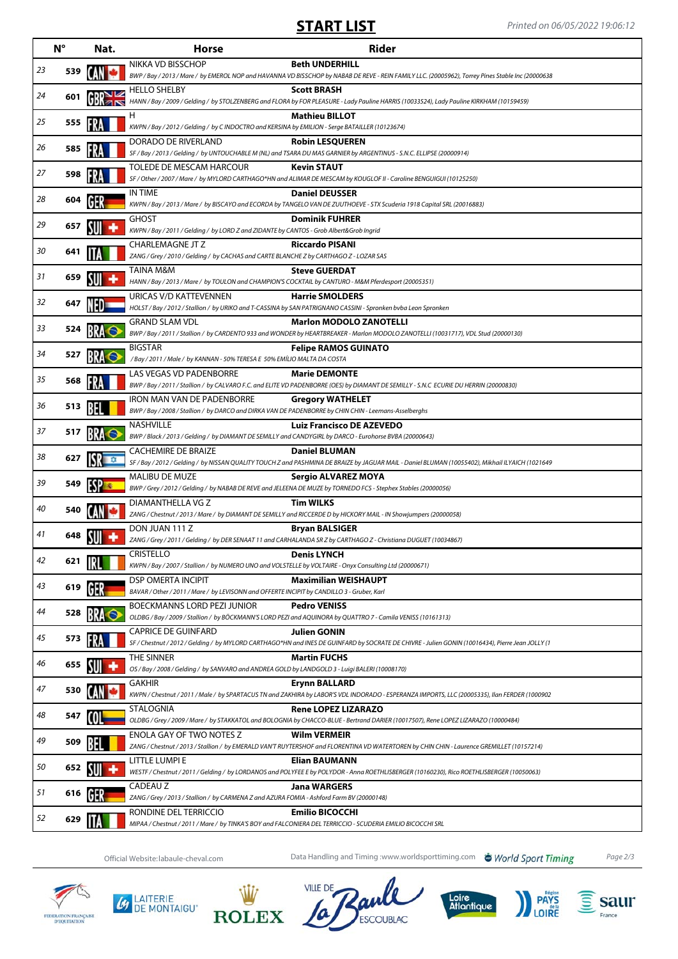## **START LIST** Printed on 06/05/2022 19:06:12

|    | $N^{\circ}$ | Nat.                               | <b>Horse</b>                                                                                                                         | <b>Rider</b>                                                                                                                                                               |
|----|-------------|------------------------------------|--------------------------------------------------------------------------------------------------------------------------------------|----------------------------------------------------------------------------------------------------------------------------------------------------------------------------|
| 23 | 539         |                                    | NIKKA VD BISSCHOP                                                                                                                    | <b>Beth UNDERHILL</b><br>BWP / Bay / 2013 / Mare / by EMEROL NOP and HAVANNA VD BISSCHOP by NABAB DE REVE - REIN FAMILY LLC. (20005962), Torrey Pines Stable Inc (20000638 |
| 24 | 601         |                                    | <b>HELLO SHELBY</b>                                                                                                                  | <b>Scott BRASH</b><br>HANN / Bay / 2009 / Gelding / by STOLZENBERG and FLORA by FOR PLEASURE - Lady Pauline HARRIS (10033524), Lady Pauline KIRKHAM (10159459)             |
| 25 | 555         |                                    | H<br>KWPN / Bay / 2012 / Gelding / by C INDOCTRO and KERSINA by EMILION - Serge BATAILLER (10123674)                                 | <b>Mathieu BILLOT</b>                                                                                                                                                      |
| 26 | 585         |                                    | DORADO DE RIVERLAND                                                                                                                  | <b>Robin LESQUEREN</b><br>SF / Bay / 2013 / Gelding / by UNTOUCHABLE M (NL) and TSARA DU MAS GARNIER by ARGENTINUS - S.N.C. ELLIPSE (20000914)                             |
| 27 | 598         |                                    | TOLEDE DE MESCAM HARCOUR                                                                                                             | <b>Kevin STAUT</b><br>SF / Other / 2007 / Mare / by MYLORD CARTHAGO*HN and ALIMAR DE MESCAM by KOUGLOF II - Caroline BENGUIGUI (10125250)                                  |
| 28 | 604         |                                    | IN TIME                                                                                                                              | <b>Daniel DEUSSER</b><br>KWPN / Bay / 2013 / Mare / by BISCAYO and ECORDA by TANGELO VAN DE ZUUTHOEVE - STX Scuderia 1918 Capital SRL (20016883)                           |
| 29 | 657         |                                    | <b>GHOST</b><br>KWPN / Bay / 2011 / Gelding / by LORD Z and ZIDANTE by CANTOS - Grob Albert&Grob Ingrid                              | <b>Dominik FUHRER</b>                                                                                                                                                      |
| 30 | 641         |                                    | CHARLEMAGNE JT Z<br>ZANG / Grey / 2010 / Gelding / by CACHAS and CARTE BLANCHE Z by CARTHAGO Z - LOZAR SAS                           | <b>Riccardo PISANI</b>                                                                                                                                                     |
| 31 | 659         |                                    | TAINA M&M<br>HANN / Bay / 2013 / Mare / by TOULON and CHAMPION'S COCKTAIL by CANTURO - M&M Pferdesport (20005351)                    | <b>Steve GUERDAT</b>                                                                                                                                                       |
| 32 | 647         | NFD-                               | URICAS V/D KATTEVENNEN                                                                                                               | <b>Harrie SMOLDERS</b><br>HOLST / Bay / 2012 / Stallion / by URIKO and T-CASSINA by SAN PATRIGNANO CASSINI - Spronken bvba Leon Spronken                                   |
| 33 | 524         |                                    | <b>GRAND SLAM VDL</b>                                                                                                                | <b>Marlon MODOLO ZANOTELLI</b><br>BWP / Bay / 2011 / Stallion / by CARDENTO 933 and WONDER by HEARTBREAKER - Marlon MODOLO ZANOTELLI (10031717), VDL Stud (20000130)       |
| 34 | 527         |                                    | <b>BIGSTAR</b><br>/Bay / 2011 / Male / by KANNAN - 50% TERESA E 50% EMÍLIO MALTA DA COSTA                                            | <b>Felipe RAMOS GUINATO</b>                                                                                                                                                |
| 35 | 568         |                                    | LAS VEGAS VD PADENBORRE                                                                                                              | <b>Marie DEMONTE</b><br>BWP / Bay / 2011 / Stallion / by CALVARO F.C. and ELITE VD PADENBORRE (OES) by DIAMANT DE SEMILLY - S.N.C ECURIE DU HERRIN (20000830)              |
| 36 | 513         |                                    | IRON MAN VAN DE PADENBORRE<br>BWP / Bay / 2008 / Stallion / by DARCO and DIRKA VAN DE PADENBORRE by CHIN CHIN - Leemans-Asselberghs  | <b>Gregory WATHELET</b>                                                                                                                                                    |
| 37 | 517         |                                    | NASHVILLE<br>BWP / Black / 2013 / Gelding / by DIAMANT DE SEMILLY and CANDYGIRL by DARCO - Eurohorse BVBA (20000643)                 | <b>Luiz Francisco DE AZEVEDO</b>                                                                                                                                           |
| 38 | 627         |                                    | <b>CACHEMIRE DE BRAIZE</b>                                                                                                           | <b>Daniel BLUMAN</b><br>SF / Bay / 2012 / Gelding / by NISSAN QUALITY TOUCH Z and PASHMINA DE BRAIZE by JAGUAR MAIL - Daniel BLUMAN (10055402), Mikhail ILYAICH (1021649   |
| 39 | 549         |                                    | MALIBU DE MUZE                                                                                                                       | Sergio ALVAREZ MOYA<br>BWP / Grey / 2012 / Gelding / by NABAB DE REVE and JELEENA DE MUZE by TORNEDO FCS - Stephex Stables (20000056)                                      |
| 40 | 540         |                                    | DIAMANTHELLA VG Z                                                                                                                    | <b>Tim WILKS</b><br>ZANG / Chestnut / 2013 / Mare / by DIAMANT DE SEMILLY and RICCERDE D by HICKORY MAIL - IN Showjumpers (20000058)                                       |
| 41 | 648         | SUI                                | DON JUAN 111 Z                                                                                                                       | <b>Bryan BALSIGER</b><br>ZANG / Grey / 2011 / Gelding / by DER SENAAT 11 and CARHALANDA SR Z by CARTHAGO Z - Christiana DUGUET (10034867)                                  |
| 42 | 621         | IRL.                               | <b>CRISTELLO</b><br>KWPN / Bay / 2007 / Stallion / by NUMERO UNO and VOLSTELLE by VOLTAIRE - Onyx Consulting Ltd (20000671)          | Denis I YNCH                                                                                                                                                               |
| 43 | 619         |                                    | <b>DSP OMERTA INCIPIT</b><br>BAVAR / Other / 2011 / Mare / by LEVISONN and OFFERTE INCIPIT by CANDILLO 3 - Gruber, Karl              | <b>Maximilian WEISHAUPT</b>                                                                                                                                                |
| 44 | 528         |                                    | BOECKMANNS LORD PEZI JUNIOR                                                                                                          | <b>Pedro VENISS</b><br>OLDBG / Bay / 2009 / Stallion / by BÖCKMANN'S LORD PEZI and AQUINORA by QUATTRO 7 - Camila VENISS (10161313)                                        |
| 45 | 573         |                                    | <b>CAPRICE DE GUINFARD</b>                                                                                                           | <b>Julien GONIN</b><br>SF / Chestnut / 2012 / Gelding / by MYLORD CARTHAGO*HN and INES DE GUINFARD by SOCRATE DE CHIVRE - Julien GONIN (10016434), Pierre Jean JOLLY (1    |
| 46 | 655         | $\mathsf{S}\mathsf{U}\mathsf{I}$ + | THE SINNER<br>OS / Bay / 2008 / Gelding / by SANVARO and ANDREA GOLD by LANDGOLD 3 - Luigi BALERI (10008170)                         | <b>Martin FUCHS</b>                                                                                                                                                        |
| 47 | 530         |                                    | <b>GAKHIR</b>                                                                                                                        | <b>Erynn BALLARD</b><br>KWPN / Chestnut / 2011 / Male / by SPARTACUS TN and ZAKHIRA by LABOR'S VDL INDORADO - ESPERANZA IMPORTS, LLC (20005335), Ilan FERDER (1000902      |
| 48 | 547         |                                    | <b>STALOGNIA</b>                                                                                                                     | <b>Rene LOPEZ LIZARAZO</b><br>OLDBG / Grey / 2009 / Mare / by STAKKATOL and BOLOGNIA by CHACCO-BLUE - Bertrand DARIER (10017507), Rene LOPEZ LIZARAZO (10000484)           |
| 49 | 509         |                                    | ENOLA GAY OF TWO NOTES Z                                                                                                             | <b>Wilm VERMEIR</b><br>ZANG / Chestnut / 2013 / Stallion / by EMERALD VAN'T RUYTERSHOF and FLORENTINA VD WATERTOREN by CHIN CHIN - Laurence GREMILLET (10157214)           |
| 50 | 652         |                                    | LITTLE LUMPI E                                                                                                                       | Elian BAUMANN<br>WESTF / Chestnut / 2011 / Gelding / by LORDANOS and POLYFEE E by POLYDOR - Anna ROETHLISBERGER (10160230), Rico ROETHLISBERGER (10050063)                 |
| 51 | 616         | 1613.                              | CADEAU Z<br>ZANG / Grey / 2013 / Stallion / by CARMENA Z and AZURA FOMIA - Ashford Farm BV (20000148)                                | <b>Jana WARGERS</b>                                                                                                                                                        |
| 52 | 629         |                                    | RONDINE DEL TERRICCIO<br>MIPAA / Chestnut / 2011 / Mare / by TINKA'S BOY and FALCONIERA DEL TERRICCIO - SCUDERIA EMILIO BICOCCHI SRL | <b>Emilio BICOCCHI</b>                                                                                                                                                     |

Official Website: labaule-cheval.com **Data Handling and Timing :www.worldsporttiming.com World Sport Timing** Page 2/3

ESCOUBLAC